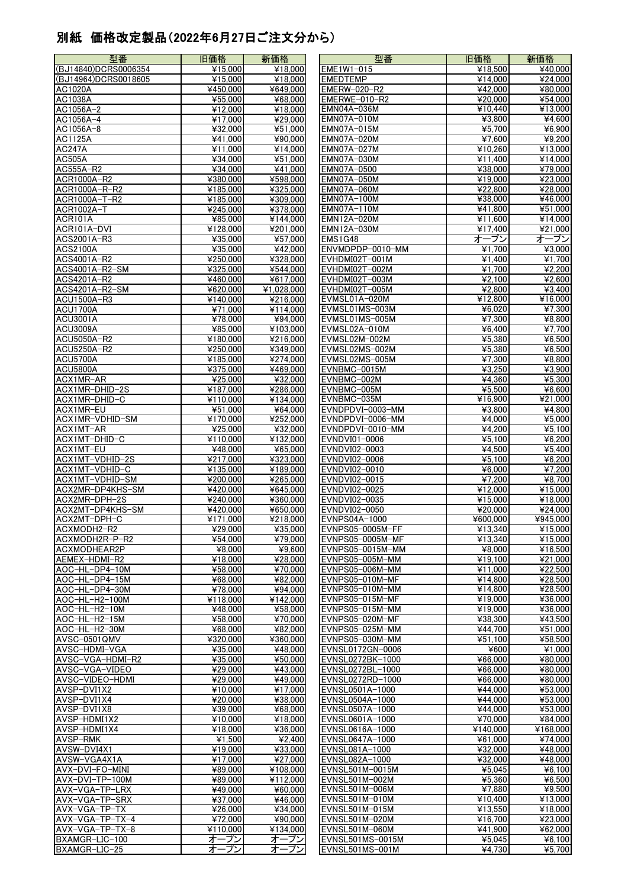## 別紙 価格改定製品(2022年6月27日ご注文分から)

| 型番                            | 旧価格                              | 新価格                         | 型番                              | 旧価格                  | 新価格                                  |
|-------------------------------|----------------------------------|-----------------------------|---------------------------------|----------------------|--------------------------------------|
| (BJ14840)DCRS0006354          | ¥15,000                          | ¥18,000                     | EME1W1-015                      | ¥18,500              | ¥40,000                              |
| (BJ14964)DCRS0018605          | ¥15,000                          | ¥18,000                     | <b>EMEDTEMP</b>                 | ¥14,000              | ¥24,000                              |
| AC1020A                       | ¥450.000                         | ¥649,000                    | EMERW-020-R2                    | ¥42.000              | ¥80.000                              |
| AC1038A                       | ¥55,000                          | ¥68,000                     | EMERWE-010-R2                   | ¥20,000              | $\overline{\text{¥}54,000}$          |
| AC1056A-2                     | ¥12,000                          | ¥18,000                     | EMN04A-036M                     | ¥10,440              | ¥13,000                              |
| AC1056A-4                     | ¥17,000                          | ¥29,000                     | EMN07A-010M                     | ¥3.800               | ¥4,600                               |
| AC1056A-8                     | ¥32,000                          | ¥51,000                     | EMN07A-015M                     | ¥5.700               | ¥6,900                               |
| AC1125A                       | ¥41.000                          | ¥90,000                     | EMN07A-020M                     | ¥7.600               | ¥9.200                               |
| AC247A                        | ¥11,000                          | ¥14,000                     | EMN07A-027M                     | ¥10,260              | ¥13,000                              |
| <b>AC505A</b>                 | ¥34,000                          | $\overline{\text{¥}51,000}$ | EMN07A-030M                     | ¥11,400              | ¥14,000                              |
| AC555A-R2                     | ¥34,000                          | ¥41,000                     | EMN07A-0500                     | ¥38,000              | ¥79,000                              |
| ACR1000A-R2                   | ¥380,000                         | ¥598,000                    | EMN07A-050M                     | ¥19,000              | ¥23,000                              |
| ACR1000A-R-R2                 | ¥185,000                         | ¥325,000                    | EMN07A-060M                     | ¥22,800              | $\overline{$28,000}$                 |
| ACR1000A-T-R2                 | ¥185,000                         | ¥309,000                    | <b>EMN07A-100M</b>              | ¥38,000              | ¥46,000                              |
| ACR1002A-T                    | ¥245,000                         | ¥378,000                    | EMN07A-110M                     | ¥41,800              | ¥51,000                              |
| ACR101A                       | ¥85,000                          | ¥144,000                    | EMN12A-020M                     | ¥11,600              | ¥14,000                              |
| ACR101A-DVI                   | $\overline{\text{¥}128,000}$     | $\frac{4201,000}{ }$        | EMN12A-030M                     | ¥17,400              | $\overline{*21,000}$                 |
| ACS2001A-R3                   | ¥35,000                          | ¥57,000                     | EMS1G48                         | オープン                 | オープン                                 |
| <b>ACS2100A</b>               | ¥35,000                          | ¥42,000                     | ENVMDPDP-0010-MM                | ¥1,700               | 43,000                               |
| ACS4001A-R2                   | ¥250,000                         | ¥328,000                    | EVHDMI02T-001M                  | ¥1.400               | ¥1,700                               |
| ACS4001A-R2-SM<br>ACS4201A-R2 | ¥325,000                         | ¥544,000<br>¥617.000        | EVHDMI02T-002M                  | ¥1,700               | ¥2,200<br>$\overline{\text{42,600}}$ |
| ACS4201A-R2-SM                | ¥460,000                         |                             | EVHDMI02T-003M                  | 42,100               | ¥3.400                               |
| ACU1500A-R3                   | ¥620,000<br>$\frac{1}{4140,000}$ | ¥1,028,000<br>¥216,000      | EVHDMI02T-005M<br>EVMSL01A-020M | ¥2,800<br>¥12,800    |                                      |
| ACU1700A                      | ¥71,000                          | ¥114,000                    | EVMSL01MS-003M                  | ¥6,020               | ¥16,000                              |
| <b>ACU3001A</b>               | $\frac{1}{478,000}$              | ¥94,000                     | EVMSL01MS-005M                  | ¥7,300               | ¥7,300<br>¥8,800                     |
| <b>ACU3009A</b>               | $\frac{1}{485,000}$              | ¥103,000                    | EVMSL02A-010M                   | $\overline{$46,400}$ | ¥7,700                               |
| ACU5050A-R2                   | ¥180,000                         | ¥216,000                    | EVMSL02M-002M                   | ¥5,380               | ¥6,500                               |
| ACU5250A-R2                   | ¥250,000                         | ¥349,000                    | EVMSL02MS-002M                  | ¥5,380               | ¥6,500                               |
| <b>ACU5700A</b>               | ¥185,000                         | ¥274,000                    | EVMSL02MS-005M                  | ¥7.300               | ¥8,800                               |
| <b>ACU5800A</b>               | ¥375,000                         | ¥469,000                    | EVNBMC-0015M                    | ¥3,250               | ¥3,900                               |
| ACX1MR-AR                     | ¥25,000                          | ¥32,000                     | EVNBMC-002M                     | ¥4,360               | ¥5,300                               |
| ACX1MR-DHID-2S                | ¥187,000                         | ¥286,000                    | EVNBMC-005M                     | ¥5,500               | ¥6,600                               |
| ACX1MR-DHID-C                 | ¥110,000                         | ¥134,000                    | EVNBMC-035M                     | ¥16,900              | ¥21,000                              |
| ACX1MR-EU                     | ¥51,000                          | ¥64,000                     | EVNDPDVI-0003-MM                | ¥3,800               | $\overline{\text{¥4,800}}$           |
| ACX1MR-VDHID-SM               | ¥170,000                         | ¥252,000                    | EVNDPDVI-0006-MM                | ¥4.000               | ¥5,000                               |
| ACX1MT-AR                     | ¥25,000                          | ¥32,000                     | EVNDPDVI-0010-MM                | ¥4,200               | ¥5,100                               |
| ACX1MT-DHID-C                 | ¥110,000                         | ¥132,000                    | EVNDVI01-0006                   | ¥5.100               | ¥6,200                               |
| ACX1MT-EU                     | ¥48,000                          | ¥65,000                     | EVNDVI02-0003                   | ¥4,500               | ¥5,400                               |
| ACX1MT-VDHID-2S               | ¥217,000                         | ¥323,000                    | EVNDVI02-0006                   | ¥5,100               | ¥6,200                               |
| ACX1MT-VDHID-C                | ¥135,000                         | ¥189,000                    | EVNDVI02-0010                   | ¥6,000               | ¥7,200                               |
| ACX1MT-VDHID-SM               | ¥200,000                         | ¥265,000                    | EVNDVI02-0015                   | ¥7,200               | ¥8,700                               |
| ACX2MR-DP4KHS-SM              | ¥420,000                         | ¥645,000                    | EVNDVI02-0025                   | ¥12,000              | ¥15,000                              |
| ACX2MR-DPH-2S                 | ¥240,000                         | ¥360,000                    | EVNDVI02-0035                   | ¥15,000              | ¥18,000                              |
| ACX2MT-DP4KHS-SM              | ¥420,000                         | ¥650,000                    | EVNDVI02-0050                   | ¥20,000              | ¥24.000                              |
| ACX2MT-DPH-C                  | ¥171,000                         | ¥218,000                    | EVNPS04A-1000                   | ¥600.000             | ¥945,000                             |
| ACXMODH2-R2                   | ¥29,000                          | ¥35,000                     | EVNPS05-0005M-FF                | ¥13,340              | ¥15,000                              |
| ACXMODH2R-P-R2                | ¥54,000                          | ¥79,000                     | EVNPS05-0005M-MF                | ¥13,340              | ¥15,000                              |
| ACXMODHEAR2P                  | ¥8,000                           | ¥9,600                      | EVNPS05-0015M-MM                | ¥8,000               | ¥16,500                              |
| AEMEX-HDMI-R2                 | ¥18,000                          | ¥28,000                     | EVNPS05-005M-MM                 | ¥19.100              | ¥21,000                              |
| AOC-HL-DP4-10M                | ¥58,000                          | ¥70,000                     | EVNPS05-006M-MM                 | ¥11,000              | ¥22,500                              |
| AOC-HL-DP4-15M                | ¥68,000                          | ¥82,000                     | EVNPS05-010M-MF                 | ¥14,800              | ¥28,500                              |
| AOC-HL-DP4-30M                | ¥78,000                          | ¥94.000                     | EVNPS05-010M-MM                 | ¥14,800              | ¥28,500                              |
| AOC-HL-H2-100M                | ¥118.000                         | ¥142,000                    | EVNPS05-015M-MF                 | ¥19,000              | ¥36,000                              |
| AOC-HL-H2-10M                 | ¥48,000                          | ¥58,000                     | EVNPS05-015M-MM                 | ¥19,000              | ¥36,000                              |
| AOC-HL-H2-15M                 | ¥58,000                          | ¥70,000                     | EVNPS05-020M-MF                 | ¥38,300              | ¥43,500                              |
| AOC-HL-H2-30M                 | ¥68,000                          | ¥82,000                     | EVNPS05-025M-MM                 | ¥44,700              | ¥51,000                              |
| AVSC-0501QMV                  | ¥320,000                         | ¥360,000                    | EVNPS05-030M-MM                 | ¥51.100              | ¥58,500                              |
| AVSC-HDMI-VGA                 | ¥35,000                          | ¥48,000                     | EVNSL0172GN-0006                | ¥600                 | ¥1,000                               |
| AVSC-VGA-HDMI-R2              | ¥35,000                          | ¥50,000                     | EVNSL0272BK-1000                | ¥66.000              | ¥80,000                              |
| AVSC-VGA-VIDEO                | ¥29,000                          | ¥43,000                     | EVNSL0272BL-1000                | ¥66,000              | ¥80,000                              |
| AVSC-VIDEO-HDMI               | ¥29,000                          | ¥49,000                     | EVNSL0272RD-1000                | ¥66,000              | ¥80,000                              |
| AVSP-DVI1X2                   | ¥10,000                          | ¥17,000                     | EVNSL0501A-1000                 | ¥44,000              | ¥53,000                              |
| AVSP-DVI1X4                   | ¥20,000                          | ¥38,000                     | EVNSL0504A-1000                 | ¥44,000              | ¥53,000                              |
| AVSP-DVI1X8                   | ¥39,000                          | ¥68,000                     | EVNSL0507A-1000                 | ¥44,000              | ¥53,000                              |
| AVSP-HDMI1X2                  | ¥10,000                          | ¥18,000                     | EVNSL0601A-1000                 | ¥70,000              | ¥84,000                              |
| AVSP-HDMI1X4                  | ¥18.000                          | ¥36,000                     | EVNSL0616A-1000                 | ¥140.000             | ¥168,000                             |
| <b>AVSP-RMK</b>               | ¥1,500                           | ¥2,400                      | EVNSL0647A-1000                 | ¥61,000              | ¥74,000                              |
| AVSW-DVI4X1                   | ¥19,000                          | ¥33,000                     | EVNSL081A-1000                  | ¥32,000              | ¥48,000                              |
| AVSW-VGA4X1A                  | ¥17.000                          | ¥27,000                     | EVNSL082A-1000                  | ¥32,000              | ¥48,000                              |
| AVX-DVI-FO-MINI               | ¥89,000                          | ¥108,000                    | EVNSL501M-0015M                 | ¥5,045               | ¥6,100                               |
| AVX-DVI-TP-100M               | $\frac{1}{489,000}$              | ¥112,000                    | EVNSL501M-002M                  | ¥5,360               | ¥6,500                               |
| AVX-VGA-TP-LRX                | ¥49,000                          | ¥60,000                     | EVNSL501M-006M                  | ¥7,880               | ¥9,500                               |
| AVX-VGA-TP-SRX                | $\frac{1}{437,000}$              | ¥46,000                     | EVNSL501M-010M                  | ¥10,400              | ¥13,000                              |
| AVX-VGA-TP-TX                 | ¥26,000                          | ¥34,000                     | EVNSL501M-015M                  | ¥13,550              | ¥18,000                              |
| AVX-VGA-TP-TX-4               | ¥72,000                          | ¥90,000                     | EVNSL501M-020M                  | ¥16,700              | ¥23,000                              |
| AVX-VGA-TP-TX-8               | ¥110,000                         | ¥134,000                    | EVNSL501M-060M                  | ¥41,900              | ¥62,000                              |
| BXAMGR-LIC-100                | オープン                             | オープン                        | EVNSL501MS-0015M                | ¥5,045               | ¥6,100                               |
| BXAMGR-LIC-25                 | オープン                             | オープン                        | EVNSL501MS-001M                 | ¥4,730               | ¥5,700                               |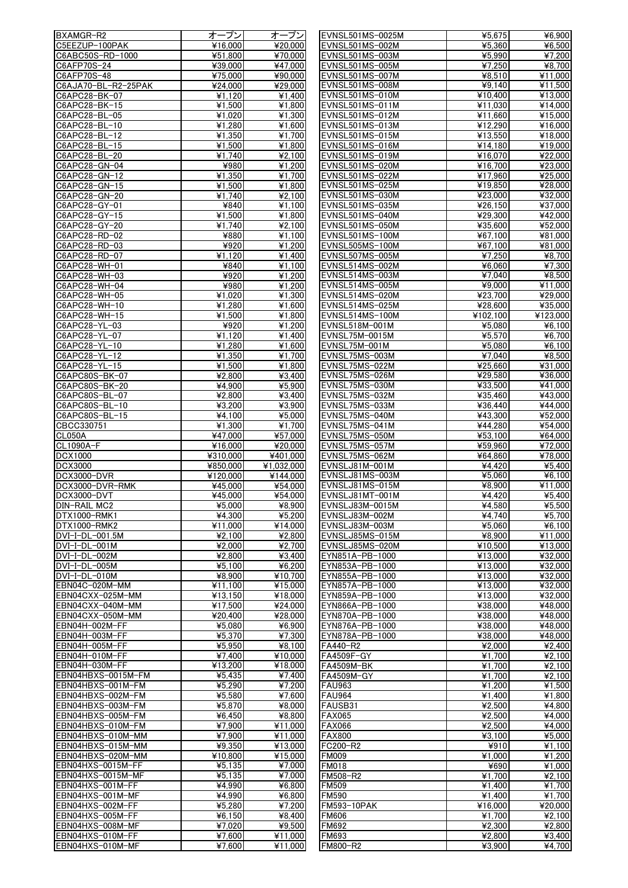| BXAMGR-R2           | オープン                       | オープン                         | EVNSL501MS-0025M  | 45,675                      | ¥6,900                     |
|---------------------|----------------------------|------------------------------|-------------------|-----------------------------|----------------------------|
| C5EEZUP-100PAK      | ¥16,000                    | ¥20,000                      | EVNSL501MS-002M   | ¥5,360                      | ¥6,500                     |
| C6ABC50S-RD-1000    | ¥51,800                    | ¥70,000                      | EVNSL501MS-003M   | ¥5,990                      | ¥7,200                     |
| C6AFP70S-24         | ¥39,000                    | ¥47.000                      | EVNSL501MS-005M   | ¥7,250                      | ¥8,700                     |
| C6AFP70S-48         | ¥75,000                    | ¥90,000                      | EVNSL501MS-007M   | ¥8,510                      | ¥11,000                    |
|                     |                            |                              | EVNSL501MS-008M   |                             | ¥11,500                    |
| C6AJA70-BL-R2-25PAK | ¥24,000                    | ¥29.000                      |                   | 49,140                      |                            |
| C6APC28-BK-07       | ¥1.120                     | ¥1,400                       | EVNSL501MS-010M   | ¥10,400                     | ¥13,000                    |
| C6APC28-BK-15       | $\overline{4}$ 1,500       | $\overline{41,800}$          | EVNSL501MS-011M   | ¥11,030                     | ¥14,000                    |
| C6APC28-BL-05       | ¥1,020                     | $\overline{4}$ 1,300         | EVNSL501MS-012M   | ¥11,660                     | ¥15,000                    |
| C6APC28-BL-10       | ¥1,280                     | ¥1,600                       | EVNSL501MS-013M   | ¥12,290                     | $\frac{1}{16,000}$         |
| C6APC28-BL-12       | ¥1,350                     | ¥1,700                       | EVNSL501MS-015M   | ¥13,550                     | ¥18,000                    |
| C6APC28-BL-15       | ¥1,500                     | ¥1,800                       | EVNSL501MS-016M   | ¥14,180                     | ¥19,000                    |
| C6APC28-BL-20       | ¥1,740                     | $\overline{\mathsf{4}}2,100$ | EVNSL501MS-019M   | ¥16,070                     | ¥22,000                    |
| C6APC28-GN-04       | ¥980                       | ¥1,200                       | EVNSL501MS-020M   | ¥16,700                     | ¥23,000                    |
| C6APC28-GN-12       | ¥1,350                     | $\overline{4}$ 1,700         | EVNSL501MS-022M   | ¥17.960                     | ¥25,000                    |
|                     |                            |                              |                   |                             |                            |
| C6APC28-GN-15       | ¥1,500                     | ¥1,800                       | EVNSL501MS-025M   | ¥19,850                     | ¥28,000                    |
| C6APC28-GN-20       | ¥1,740                     | 42,100                       | EVNSL501MS-030M   | ¥23,000                     | ¥32,000                    |
| C6APC28-GY-01       | ¥840                       | $\overline{4}$ 1,100         | EVNSL501MS-035M   | ¥26,150                     | ¥37,000                    |
| C6APC28-GY-15       | ¥1,500                     | ¥1,800                       | EVNSL501MS-040M   | ¥29,300                     | ¥42,000                    |
| C6APC28-GY-20       | ¥1,740                     | ¥2.100                       | EVNSL501MS-050M   | $\overline{\text{¥35,600}}$ | ¥52,000                    |
| C6APC28-RD-02       | ¥880                       | ¥1,100                       | EVNSL501MS-100M   | ¥67,100                     | ¥81,000                    |
| C6APC28-RD-03       | ¥920                       | $\overline{41,200}$          | EVNSL505MS-100M   | ¥67,100                     | $\overline{*}81,000$       |
| C6APC28-RD-07       | ¥1.120                     | ¥1.400                       | EVNSL507MS-005M   | ¥7,250                      | ¥8,700                     |
| C6APC28-WH-01       | ¥840                       | ¥1,100                       | EVNSL514MS-002M   | ¥6,060                      | ¥7,300                     |
|                     |                            |                              |                   |                             |                            |
| C6APC28-WH-03       | ¥920                       | $\overline{4}$ 1,200         | EVNSL514MS-003M   | ¥7,040                      | ¥8,500                     |
| C6APC28-WH-04       | ¥980                       | ¥1,200                       | EVNSL514MS-005M   | ¥9.000                      | ¥11,000                    |
| C6APC28-WH-05       | ¥1,020                     | $\overline{41,300}$          | EVNSL514MS-020M   | ¥23,700                     | ¥29,000                    |
| C6APC28-WH-10       | ¥1,280                     | ¥1,600                       | EVNSL514MS-025M   | ¥28,600                     | ¥35,000                    |
| C6APC28-WH-15       | ¥1,500                     | $\overline{41,800}$          | EVNSL514MS-100M   | ¥102,100                    | ¥123,000                   |
| C6APC28-YL-03       | ¥920                       | ¥1.200                       | EVNSL518M-001M    | ¥5,080                      | ¥6,100                     |
| C6APC28-YL-07       | ¥1,120                     | ¥1,400                       | EVNSL75M-0015M    | ¥5,570                      | ¥6,700                     |
| C6APC28-YL-10       | ¥1,280                     | ¥1,600                       | EVNSL75M-001M     | ¥5,080                      | ¥6,100                     |
| C6APC28-YL-12       | ¥1,350                     | ¥1,700                       | EVNSL75MS-003M    | ¥7,040                      | ¥8,500                     |
|                     |                            |                              |                   |                             |                            |
| C6APC28-YL-15       | ¥1,500                     | $\overline{4}1,800$          | EVNSL75MS-022M    | ¥25,660                     | $\overline{$}31,000$       |
| C6APC80S-BK-07      | ¥2.800                     | ¥3,400                       | EVNSL75MS-026M    | ¥29,580                     | ¥36,000                    |
| C6APC80S-BK-20      | ¥4,900                     | ¥5,900                       | EVNSL75MS-030M    | ¥33,500                     | ¥41,000                    |
| C6APC80S-BL-07      | $\overline{\text{42,800}}$ | ¥3.400                       | EVNSL75MS-032M    | ¥35,460                     | ¥43,000                    |
| C6APC80S-BL-10      | ¥3,200                     | ¥3,900                       | EVNSL75MS-033M    | ¥36,440                     | ¥44,000                    |
| C6APC80S-BL-15      | ¥4,100                     | ¥5,000                       | EVNSL75MS-040M    | ¥43,300                     | 452,000                    |
| CBCC330751          | ¥1,300                     | ¥1,700                       | EVNSL75MS-041M    | ¥44,280                     | ¥54,000                    |
| CL050A              | ¥47,000                    | ¥57,000                      | EVNSL75MS-050M    | ¥53,100                     | ¥64,000                    |
| CL1090A-F           | ¥16,000                    | ¥20,000                      | EVNSL75MS-057M    | ¥59.960                     | ¥72,000                    |
| <b>DCX1000</b>      | ¥310.000                   | ¥401,000                     | EVNSL75MS-062M    |                             | ¥78,000                    |
|                     |                            |                              |                   | ¥64,860                     |                            |
| <b>DCX3000</b>      | ¥850,000                   | ¥1.032.000                   | EVNSLJ81M-001M    | ¥4,420                      | $\overline{\text{45,400}}$ |
| <b>DCX3000-DVR</b>  | ¥120,000                   | ¥144,000                     | EVNSLJ81MS-003M   | ¥5,060                      | 46,100                     |
| DCX3000-DVR-RMK     | ¥45,000                    | ¥54,000                      | EVNSLJ81MS-015M   | ¥8,900                      | $\overline{4}1,000$        |
| DCX3000-DVT         | ¥45,000                    | ¥54,000                      | EVNSLJ81MT-001M   | ¥4,420                      | ¥5,400                     |
| DIN-RAIL MC2        | ¥5,000                     | ¥8,900                       | EVNSLJ83M-0015M   | ¥4,580                      | ¥5,500                     |
| DTX1000-RMK1        | ¥4,300                     | ¥5,200                       | EVNSLJ83M-002M    | ¥4,740                      | ¥5,700                     |
| DTX1000-RMK2        | ¥11,000                    | ¥14,000                      | EVNSLJ83M-003M    | ¥5,060                      | ¥6,100                     |
| DVI-I-DL-001.5M     | 42.100                     | ¥2.800                       | EVNSLJ85MS-015M   | ¥8,900                      | ¥11,000                    |
| DVI-I-DL-001M       | ¥2,000                     | ¥2,700                       | EVNSLJ85MS-020M   | ¥10,500                     | ¥13,000                    |
|                     |                            |                              |                   |                             |                            |
| DVI-I-DL-002M       | ¥2,800                     | 43,400                       | EYN851A-PB-1000   | ¥13,000                     | ¥32,000                    |
| DVI-I-DL-005M       | ¥5.100                     | ¥6,200                       | EYN853A-PB-1000   | ¥13,000                     | ¥32.000                    |
| DVI-I-DL-010M       | ¥8,900                     | ¥10,700                      | EYN855A-PB-1000   | ¥13,000                     | ¥32,000                    |
| EBN04C-020M-MM      | ¥11,100                    | ¥15.000                      | EYN857A-PB-1000   | ¥13,000                     | ¥32,000                    |
| EBN04CXX-025M-MM    | ¥13,150                    | ¥18,000                      | EYN859A-PB-1000   | ¥13,000                     | ¥32,000                    |
| EBN04CXX-040M-MM    | ¥17,500                    | ¥24,000                      | EYN866A-PB-1000   | ¥38,000                     | ¥48,000                    |
| EBN04CXX-050M-MM    | ¥20.400                    | ¥28,000                      | EYN870A-PB-1000   | ¥38,000                     | ¥48,000                    |
| EBN04H-002M-FF      | ¥5,080                     | ¥6,900                       | EYN876A-PB-1000   | ¥38,000                     | ¥48,000                    |
| EBN04H-003M-FF      | ¥5,370                     | ¥7.300                       | EYN878A-PB-1000   | ¥38,000                     | ¥48,000                    |
| EBN04H-005M-FF      | ¥5,950                     | ¥8,100                       | FA440-R2          | ¥2,000                      | ¥2,400                     |
| EBN04H-010M-FF      | ¥7,400                     | ¥10,000                      | FA4509F-GY        | ¥1,700                      | ¥2,100                     |
|                     |                            |                              |                   |                             |                            |
| EBN04H-030M-FF      | ¥13,200                    | ¥18,000                      | <b>FA4509M-BK</b> | ¥1,700                      | $\overline{42,100}$        |
| EBN04HBXS-0015M-FM  | ¥5,435                     | ¥7,400                       | FA4509M-GY        | ¥1,700                      | ¥2,100                     |
| EBN04HBXS-001M-FM   | ¥5,290                     | ¥7.200                       | <b>FAU963</b>     | ¥1,200                      | ¥1,500                     |
| EBN04HBXS-002M-FM   | ¥5,580                     | ¥7,600                       | <b>FAU964</b>     | ¥1,400                      | ¥1,800                     |
| EBN04HBXS-003M-FM   | ¥5,870                     | ¥8,000                       | FAUSB31           | ¥2,500                      | ¥4,800                     |
| EBN04HBXS-005M-FM   | ¥6,450                     | ¥8,800                       | <b>FAX065</b>     | ¥2,500                      | ¥4,000                     |
| EBN04HBXS-010M-FM   | ¥7,900                     | ¥11,000                      | <b>FAX066</b>     | ¥2,500                      | ¥4,000                     |
| EBN04HBXS-010M-MM   | ¥7,900                     | ¥11,000                      | <b>FAX800</b>     | ¥3,100                      | ¥5,000                     |
| EBN04HBXS-015M-MM   | ¥9,350                     | ¥13,000                      | FC200-R2          | ¥910                        | ¥1,100                     |
| EBN04HBXS-020M-MM   | ¥10,800                    | ¥15,000                      | <b>FM009</b>      | ¥1,000                      | ¥1,200                     |
| EBN04HXS-0015M-FF   | ¥5,135                     | ¥7,000                       | <b>FM018</b>      | ¥690                        | ¥1,000                     |
| EBN04HXS-0015M-MF   |                            |                              |                   |                             |                            |
|                     | 45,135                     | ¥7.000                       | FM508-R2          | ¥1,700                      | ¥2,100                     |
| EBN04HXS-001M-FF    | ¥4.990                     | ¥6,800                       | <b>FM509</b>      | ¥1.400                      | ¥1,700                     |
| EBN04HXS-001M-MF    | ¥4.990                     | 46,800                       | <b>FM590</b>      | ¥1,400                      | ¥1,700                     |
| EBN04HXS-002M-FF    | ¥5,280                     | ¥7,200                       | FM593-10PAK       | ¥16.000                     | ¥20,000                    |
| EBN04HXS-005M-FF    |                            |                              | <b>FM606</b>      | ¥1,700                      | ¥2,100                     |
|                     | ¥6,150                     | ¥8,400                       |                   |                             |                            |
| EBN04HXS-008M-MF    | ¥7,020                     | ¥9,500                       | FM692             | ¥2,300                      | ¥2,800                     |
| EBN04HXS-010M-FF    | ¥7,600                     | ¥11,000                      | FM693             | ¥2,800                      |                            |
| EBN04HXS-010M-MF    | ¥7,600                     | ¥11,000                      | <b>FM800-R2</b>   | ¥3.900                      | ¥3,400<br>¥4,700           |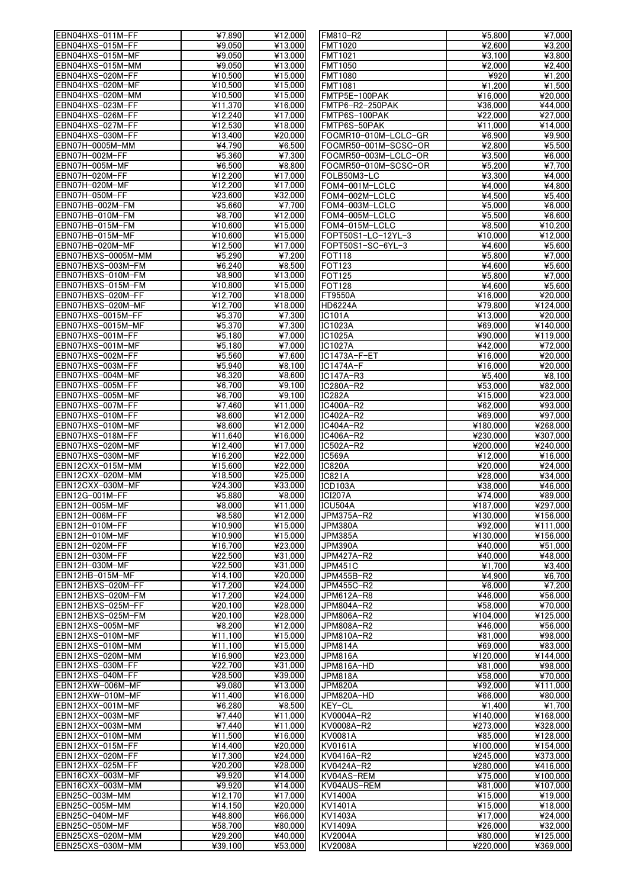| EBN04HXS-011M-FF                     | ¥7,890                       | ¥12,000                    | FM810-R2             | 45,800                      | ¥7,000   |
|--------------------------------------|------------------------------|----------------------------|----------------------|-----------------------------|----------|
| EBN04HXS-015M-FF                     | ¥9,050                       | ¥13,000                    | <b>FMT1020</b>       | ¥2.600                      | ¥3.200   |
|                                      |                              |                            |                      |                             |          |
| EBN04HXS-015M-MF                     | ¥9.050                       | ¥13,000                    | FMT1021              | ¥3,100                      | ¥3,800   |
| EBN04HXS-015M-MM                     | ¥9.050                       | ¥13,000                    | FMT1050              | ¥2.000                      | ¥2.400   |
| EBN04HXS-020M-FF                     | ¥10,500                      | ¥15,000                    | <b>FMT1080</b>       | ¥920                        | ¥1,200   |
| EBN04HXS-020M-MF                     | ¥10,500                      | ¥15,000                    | <b>FMT1081</b>       | ¥1.200                      | ¥1.500   |
| EBN04HXS-020M-MM                     | ¥10,500                      | ¥15,000                    | FMTP5E-100PAK        | ¥16,000                     | ¥20,000  |
|                                      |                              |                            |                      |                             |          |
| EBN04HXS-023M-FF                     | ¥11,370                      | ¥16,000                    | FMTP6-R2-250PAK      | ¥36.000                     | ¥44,000  |
| EBN04HXS-026M-FF                     | ¥12,240                      | ¥17,000                    | FMTP6S-100PAK        | ¥22,000                     | ¥27,000  |
| EBN04HXS-027M-FF                     | ¥12,530                      | ¥18,000                    | FMTP6S-50PAK         | ¥11,000                     | ¥14,000  |
| EBN04HXS-030M-FF                     | ¥13,400                      | ¥20,000                    | FOCMR10-010M-LCLC-GR | ¥6,900                      | ¥9,900   |
|                                      |                              |                            |                      |                             |          |
| EBN07H-0005M-MM                      | ¥4,790                       | ¥6.500                     | FOCMR50-001M-SCSC-OR | ¥2,800                      | ¥5,500   |
| EBN07H-002M-FF                       | ¥5.360                       | $\overline{\text{¥7.300}}$ | FOCMR50-003M-LCLC-OR | ¥3.500                      | ¥6.000   |
| EBN07H-005M-MF                       | ¥6,500                       | ¥8.800                     | FOCMR50-010M-SCSC-OR | ¥5,200                      | ¥7,700   |
| EBN07H-020M-FF                       | ¥12,200                      | ¥17,000                    | FOLB50M3-LC          | ¥3,300                      | ¥4,000   |
|                                      |                              |                            |                      |                             |          |
| EBN07H-020M-MF                       | ¥12,200                      | ¥17,000                    | FOM4-001M-LCLC       | ¥4,000                      | ¥4.800   |
| EBN07H-050M-FF                       | ¥23,600                      | ¥32,000                    | FOM4-002M-LCLC       | ¥4,500                      | ¥5,400   |
| EBN07HB-002M-FM                      | ¥5,660                       | ¥7,700                     | FOM4-003M-LCLC       | ¥5,000                      | ¥6,000   |
| EBN07HB-010M-FM                      | ¥8,700                       | ¥12,000                    | FOM4-005M-LCLC       | ¥5,500                      | ¥6,600   |
| EBN07HB-015M-FM                      | ¥10,600                      | ¥15,000                    | FOM4-015M-LCLC       | ¥8,500                      | ¥10,200  |
|                                      |                              |                            |                      |                             |          |
| EBN07HB-015M-MF                      | ¥10,600                      | ¥15,000                    | FOPT50S1-LC-12YL-3   | ¥10,000                     | ¥12,000  |
| EBN07HB-020M-MF                      | ¥12,500                      | ¥17,000                    | FOPT50S1-SC-6YL-3    | ¥4,600                      | ¥5,600   |
| EBN07HBXS-0005M-MM                   | ¥5,290                       | ¥7,200                     | <b>FOT118</b>        | ¥5,800                      | ¥7,000   |
| EBN07HBXS-003M-FM                    | ¥6,240                       | ¥8,500                     | FOT123               | ¥4,600                      | ¥5,600   |
| EBN07HBXS-010M-FM                    | $\overline{$48,900}$         |                            |                      |                             |          |
|                                      |                              | ¥13.000                    | <b>FOT125</b>        | ¥5,800                      | ¥7,000   |
| EBN07HBXS-015M-FM                    | ¥10,800                      | ¥15,000                    | <b>FOT128</b>        | ¥4,600                      | ¥5,600   |
| EBN07HBXS-020M-FF                    | ¥12,700                      | ¥18,000                    | FT9550A              | ¥16,000                     | ¥20,000  |
| EBN07HBXS-020M-MF                    | ¥12,700                      | ¥18,000                    | HD6224A              | ¥79,800                     | ¥124,000 |
| EBN07HXS-0015M-FF                    | ¥5,370                       | ¥7,300                     | <b>IC101A</b>        | $\overline{4}13,000$        | ¥20,000  |
|                                      |                              |                            |                      |                             |          |
| EBN07HXS-0015M-MF                    | ¥5,370                       | ¥7,300                     | IC1023A              | ¥69,000                     | ¥140,000 |
| EBN07HXS-001M-FF                     | ¥5,180                       | ¥7,000                     | <b>IC1025A</b>       | ¥90,000                     | ¥119,000 |
| EBN07HXS-001M-MF                     | ¥5,180                       | ¥7.000                     | <b>IC1027A</b>       | ¥42,000                     | ¥72,000  |
| EBN07HXS-002M-FF                     | ¥5,560                       | ¥7,600                     | IC1473A-F-ET         | ¥16,000                     | ¥20,000  |
|                                      |                              |                            |                      |                             |          |
| EBN07HXS-003M-FF                     | ¥5,940                       | ¥8,100                     | IC1474A-F            | ¥16,000                     | ¥20,000  |
| EBN07HXS-004M-MF                     | ¥6,320                       | ¥8,600                     | IC147A-R3            | $\overline{\text{45}}$ ,400 | ¥8.100   |
| EBN07HXS-005M-FF                     | ¥6,700                       | ¥9,100                     | IC280A-R2            | ¥53,000                     | ¥82,000  |
| EBN07HXS-005M-MF                     | ¥6,700                       | $\overline{49,100}$        | IC282A               | ¥15,000                     | ¥23,000  |
| EBN07HXS-007M-FF                     | ¥7,460                       | ¥11,000                    | IC400A-R2            | ¥62,000                     | ¥93,000  |
|                                      |                              |                            |                      |                             |          |
| EBN07HXS-010M-FF                     | ¥8,600                       | ¥12,000                    | IC402A-R2            | $\sqrt{$69,000}$            | ¥97,000  |
| EBN07HXS-010M-MF                     | ¥8,600                       | ¥12,000                    | IC404A-R2            | ¥180,000                    | ¥268,000 |
| EBN07HXS-018M-FF                     | ¥11,640                      | ¥16,000                    | IC406A-R2            | ¥230,000                    | ¥307,000 |
| EBN07HXS-020M-MF                     | ¥12,400                      | ¥17,000                    | IC502A-R2            | ¥200,000                    | ¥240,000 |
| EBN07HXS-030M-MF                     | ¥16,200                      | ¥22,000                    | IC569A               | ¥12,000                     | ¥16,000  |
|                                      |                              |                            |                      |                             |          |
| EBN12CXX-015M-MM                     | ¥15,600                      | 422,000                    | <b>IC820A</b>        | ¥20,000                     | ¥24.000  |
| EBN12CXX-020M-MM                     | ¥18,500                      | ¥25,000                    | <b>IC821A</b>        | ¥28,000                     | ¥34.000  |
| EBN12CXX-030M-MF                     | $\overline{\text{42}}$ 4,300 | ¥33,000                    | ICD103A              | ¥38,000                     | ¥46,000  |
| EBN12G-001M-FF                       | ¥5,880                       | ¥8,000                     | ICI207A              | ¥74.000                     | ¥89,000  |
|                                      |                              |                            |                      |                             |          |
| EBN12H-005M-MF                       | ¥8,000                       | ¥11,000                    | ICU504A              | ¥187,000                    | ¥297,000 |
| EBN12H-006M-FF                       | ¥8,580                       | ¥12,000                    | JPM375A-R2           | ¥130,000                    | ¥156.000 |
| EBN12H-010M-FF                       | ¥10,900                      | ¥15,000                    | <b>JPM380A</b>       | ¥92,000                     | ¥111,000 |
| EBN12H-010M-MF                       | ¥10,900                      | ¥15,000                    | <b>JPM385A</b>       | ¥130,000                    | ¥156,000 |
| EBN12H-020M-FF                       | ¥16,700                      | ¥23,000                    | JPM390A              | ¥40.000                     | ¥51,000  |
|                                      |                              |                            |                      |                             |          |
| EBN12H-030M-FF                       | ¥22,500                      | ¥31,000                    | JPM427A-R2           | ¥40.000                     | ¥48,000  |
| EBN12H-030M-MF                       | ¥22,500                      | ¥31,000                    | JPM451C              | ¥1.700                      | ¥3.400   |
| EBN12HB-015M-MF                      | ¥14,100                      | ¥20,000                    | JPM455B-R2           | ¥4,900                      | ¥6.700   |
| EBN12HBXS-020M-FF                    | ¥17,200                      | ¥24.000                    | JPM455C-R2           | ¥6,000                      | ¥7,200   |
|                                      | ¥17,200                      | ¥24,000                    |                      | ¥46,000                     | ¥56,000  |
| EBN12HBXS-020M-FM                    |                              |                            | JPM612A-R8           |                             |          |
| EBN12HBXS-025M-FF                    | ¥20.100                      | ¥28,000                    | JPM804A-R2           | ¥58,000                     | ¥70,000  |
| EBN12HBXS-025M-FM                    | ¥20,100                      | ¥28,000                    | JPM806A-R2           | ¥104,000                    | ¥125,000 |
| EBN12HXS-005M-MF                     | ¥8,200                       | ¥12,000                    | JPM808A-R2           | ¥46,000                     | ¥56,000  |
| EBN12HXS-010M-MF                     | ¥11,100                      | ¥15,000                    | JPM810A-R2           | ¥81,000                     | ¥98,000  |
|                                      |                              |                            |                      |                             |          |
| EBN12HXS-010M-MM                     | ¥11.100                      | ¥15,000                    | JPM814A              | ¥69,000                     | ¥83,000  |
| EBN12HXS-020M-MM                     | ¥16,900                      | ¥23,000                    | <b>JPM816A</b>       | ¥120,000                    | ¥144,000 |
| EBN12HXS-030M-FF                     | ¥22,700                      | ¥31,000                    | JPM816A-HD           | ¥81,000                     | ¥98,000  |
| EBN12HXS-040M-FF                     | ¥28,500                      | ¥39,000                    | JPM818A              | ¥58,000                     | ¥70,000  |
| EBN12HXW-006M-MF                     | ¥9,080                       | ¥13,000                    | JPM820A              | ¥92,000                     | ¥111,000 |
| EBN12HXW-010M-MF                     | ¥11,400                      | ¥16,000                    | JPM820A-HD           | ¥66,000                     | ¥80,000  |
|                                      |                              |                            |                      |                             |          |
| EBN12HXX-001M-MF                     | $\overline{$46,280}$         | ¥8,500                     | KEY-CL               | ¥1,400                      | ¥1,700   |
| EBN12HXX-003M-MF                     | ¥7,440                       | ¥11,000                    | KV0004A-R2           | ¥140,000                    | ¥168,000 |
| EBN12HXX-003M-MM                     | ¥7,440                       | ¥11,000                    | KV0008A-R2           | ¥273,000                    | ¥328,000 |
| EBN12HXX-010M-MM                     | ¥11,500                      | ¥16,000                    | KV0081A              | ¥85,000                     | ¥128,000 |
|                                      |                              |                            |                      |                             |          |
| EBN12HXX-015M-FF                     | ¥14,400                      | ¥20,000                    | KV0161A              | ¥100,000                    | ¥154,000 |
| EBN12HXX-020M-FF                     | ¥17,300                      | ¥24,000                    | KV0416A-R2           | ¥245,000                    | ¥373,000 |
| EBN12HXX-025M-FF                     | ¥20,200                      | ¥28,000                    | KV0424A-R2           | ¥280,000                    | ¥416,000 |
| EBN16CXX-003M-MF                     | ¥9,920                       | ¥14,000                    | KV04AS-REM           | ¥75.000                     | ¥100,000 |
| EBN16CXX-003M-MM                     | ¥9,920                       | ¥14,000                    | KV04AUS-REM          | ¥81,000                     | ¥107,000 |
|                                      |                              |                            |                      |                             |          |
| EBN25C-003M-MM                       | ¥12,170                      | ¥17,000                    | <b>KV1400A</b>       | ¥15,000                     | ¥19,000  |
| EBN25C-005M-MM                       | ¥14,150                      | ¥20,000                    | KV1401A              | ¥15.000                     | ¥18,000  |
| EBN25C-040M-MF                       | ¥48,800                      | ¥66,000                    | KV1403A              | ¥17,000                     | ¥24,000  |
| EBN25C-050M-MF                       | ¥58,700                      | ¥80,000                    | KV1409A              | ¥26,000                     | ¥32,000  |
|                                      |                              |                            |                      |                             |          |
| EBN25CXS-020M-MM<br>EBN25CXS-030M-MM | ¥29,200                      | ¥40,000                    | <b>KV2004A</b>       | ¥80,000                     | ¥125,000 |
|                                      | ¥39.100                      | ¥53,000                    | <b>KV2008A</b>       | ¥220.000                    | ¥369.000 |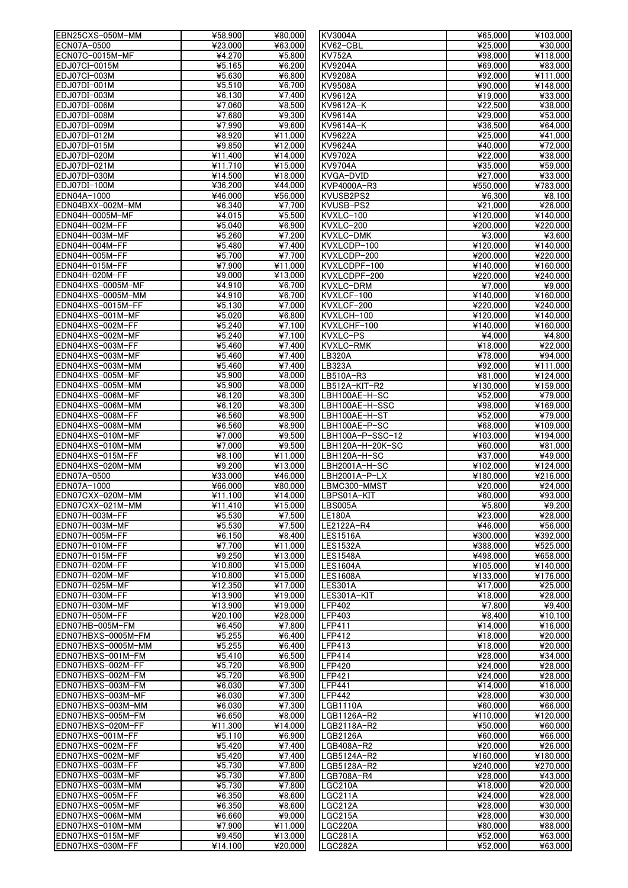|                                      | ¥58,900              | ¥80,000                     | KV3004A                   | ¥65,000              | ¥103,000                               |
|--------------------------------------|----------------------|-----------------------------|---------------------------|----------------------|----------------------------------------|
| ECN07A-0500                          | ¥23.000              | ¥63,000                     | KV62-CBL                  | ¥25,000              | ¥30,000                                |
| ECN07C-0015M-MF                      | ¥4.270               | ¥5,800                      | <b>KV752A</b>             | ¥98,000              | ¥118,000                               |
| EDJ07CI-0015M                        | 45,165               | ¥6,200                      | <b>KV9204A</b>            | ¥69,000              | ¥83,000                                |
| EDJ07CI-003M                         | ¥5,630               | ¥6,800                      | <b>KV9208A</b>            | ¥92,000              | ¥111,000                               |
| EDJ07DI-001M                         | ¥5,510               | ¥6,700                      |                           |                      | ¥148.000                               |
|                                      |                      |                             | <b>KV9508A</b>            | ¥90,000              |                                        |
| EDJ07DI-003M                         | ¥6.130               | ¥7.400                      | KV9612A                   | ¥19,000              | ¥33,000                                |
| EDJ07DI-006M                         | ¥7.060               | ¥8,500                      | KV9612A-K                 | ¥22,500              | ¥38,000                                |
| EDJ07DI-008M                         | ¥7,680               | ¥9,300                      | <b>KV9614A</b>            | ¥29,000              | ¥53,000                                |
| EDJ07DI-009M                         | ¥7,990               | $\overline{49,600}$         | KV9614A-K                 | ¥36,500              | ¥64,000                                |
| EDJ07DI-012M                         | $\overline{$48,920}$ | ¥11,000                     | KV9622A                   | ¥25,000              | ¥41,000                                |
| EDJ07DI-015M                         | ¥9,850               | ¥12,000                     | KV9624A                   | ¥40,000              | ¥72,000                                |
| EDJ07DI-020M                         | ¥11,400              | ¥14,000                     | <b>KV9702A</b>            | 422,000              | $\overline{\text{¥}38,000}$            |
| EDJ07DI-021M                         | ¥11,710              | ¥15.000                     | <b>KV9704A</b>            | ¥35,000              | ¥59,000                                |
| EDJ07DI-030M                         | ¥14,500              | ¥18,000                     | KVGA-DVID                 | ¥27,000              | ¥33,000                                |
|                                      |                      |                             |                           |                      |                                        |
| EDJ07DI-100M                         | ¥36,200              | $\overline{\text{444,000}}$ | KVP4000A-R3               | ¥550,000             | ¥783,000                               |
| EDN04A-1000                          | ¥46,000              | ¥56,000                     | KVUSB2PS2                 | ¥6,300               | ¥8,100                                 |
| EDN04BXX-002M-MM                     | ¥6,340               | ¥7,700                      | KVUSB-PS2                 | ¥21,000              | ¥26,000                                |
| EDN04H-0005M-MF                      | ¥4,015               | ¥5,500                      | KVXLC-100                 | ¥120,000             | ¥140,000                               |
| EDN04H-002M-FF                       | ¥5,040               | ¥6,900                      | KVXLC-200                 | ¥200,000             | ¥220.000                               |
| EDN04H-003M-MF                       | ¥5,260               | ¥7,200                      | KVXLC-DMK                 | ¥3,000               | ¥3,600                                 |
| EDN04H-004M-FF                       | ¥5.480               | $\overline{4}$ 7,400        | KVXLCDP-100               | ¥120,000             | ¥140,000                               |
| EDN04H-005M-FF                       | ¥5,700               | ¥7.700                      | KVXLCDP-200               | ¥200.000             | ¥220,000                               |
| EDN04H-015M-FF                       |                      |                             |                           |                      |                                        |
|                                      | ¥7,900               | ¥11,000                     | KVXLCDPF-100              | ¥140,000             | ¥160,000                               |
| EDN04H-020M-FF                       | ¥9,000               | $\overline{413,000}$        | KVXLCDPF-200              | ¥220,000             | ¥240,000                               |
| EDN04HXS-0005M-MF                    | 44.910               | ¥6,700                      | KVXLC-DRM                 | ¥7,000               | ¥9,000                                 |
| EDN04HXS-0005M-MM                    | ¥4,910               | ¥6,700                      | KVXLCF-100                | $\frac{1}{4140,000}$ | $\frac{1}{4160,000}$                   |
| EDN04HXS-0015M-FF                    | ¥5,130               | ¥7,000                      | KVXLCF-200                | ¥220,000             | ¥240,000                               |
| EDN04HXS-001M-MF                     | ¥5,020               | ¥6,800                      | KVXLCH-100                | ¥120,000             | ¥140,000                               |
| EDN04HXS-002M-FF                     | ¥5,240               | $\frac{1}{47,100}$          | KVXLCHF-100               | ¥140,000             | ¥160,000                               |
| EDN04HXS-002M-MF                     | ¥5,240               | ¥7,100                      | KVXLC-PS                  | ¥4,000               | ¥4,800                                 |
| EDN04HXS-003M-FF                     | ¥5,460               | ¥7,400                      | <b>KVXLC-RMK</b>          | ¥18,000              | $\overline{\text{¥22,000}}$            |
| EDN04HXS-003M-MF                     | ¥5,460               | ¥7,400                      | <b>LB320A</b>             | ¥78,000              | ¥94,000                                |
|                                      |                      |                             |                           |                      |                                        |
| EDN04HXS-003M-MM                     | ¥5.460               | ¥7,400                      | LB323A                    | ¥92,000              | ¥111,000                               |
| EDN04HXS-005M-MF                     | ¥5,900               | ¥8,000                      | LB510A-R3                 | ¥81,000              | ¥124,000                               |
| EDN04HXS-005M-MM                     | ¥5,900               | ¥8,000                      | LB512A-KIT-R2             | ¥130,000             | ¥159,000                               |
| EDN04HXS-006M-MF                     | ¥6,120               | ¥8,300                      | LBH100AE-H-SC             | ¥52,000              | ¥79,000                                |
| EDN04HXS-006M-MM                     | ¥6,120               | ¥8,300                      | LBH100AE-H-SSC            | ¥98,000              | ¥169,000                               |
| EDN04HXS-008M-FF                     | ¥6,560               | $\overline{$48,900}$        | LBH100AE-H-ST             | ¥52,000              | ¥79,000                                |
| EDN04HXS-008M-MM                     | ¥6,560               | ¥8,900                      | LBH100AE-P-SC             | ¥68,000              | ¥109,000                               |
| EDN04HXS-010M-MF                     | ¥7,000               | $\overline{49,500}$         | LBH100A-P-SSC-12          | ¥103,000             | ¥194,000                               |
| EDN04HXS-010M-MM                     | ¥7,000               | ¥9,500                      | LBH120A-H-20K-SC          | ¥60,000              | ¥81,000                                |
| EDN04HXS-015M-FF                     | $\overline{48,100}$  | ¥11,000                     | LBH120A-H-SC              | ¥37,000              | ¥49,000                                |
| EDN04HXS-020M-MM                     | ¥9,200               | ¥13,000                     | LBH2001A-H-SC             | $\frac{1}{4102,000}$ | ¥124.000                               |
|                                      |                      |                             |                           | ¥180,000             |                                        |
| EDN07A-0500                          | ¥33,000              | ¥46,000                     | LBH2001A-P-LX             |                      | ¥216,000                               |
| EDN07A-1000                          | ¥66,000              | ¥80,000                     | LBMC300-MMST              | ¥20,000              | ¥24,000                                |
| EDN07CXX-020M-MM                     | ¥11.100              | ¥14.000                     | LBPS01A-KIT               | ¥60,000              | ¥93,000                                |
| EDN07CXX-021M-MM                     | ¥11,410              | ¥15,000                     | <b>LBS005A</b>            | ¥5,800               | ¥9,200                                 |
| EDN07H-003M-FF                       |                      |                             | <b>LE180A</b>             |                      |                                        |
|                                      | ¥5,530               | ¥7,500                      |                           | ¥23.000              | ¥28,000                                |
| EDN07H-003M-MF                       | ¥5,530               | ¥7,500                      | LE2122A-R4                | ¥46,000              | ¥56,000                                |
| EDN07H-005M-FF                       | ¥6,150               | ¥8,400                      |                           |                      | ¥392.000                               |
|                                      |                      |                             | <b>LES1516A</b>           | ¥300,000             |                                        |
| EDN07H-010M-FF                       | ¥7,700               | ¥11,000                     | <b>LES1532A</b>           | ¥388,000             | ¥525,000                               |
| EDN07H-015M-FF                       | 49.250               | ¥13,000                     | <b>LES1548A</b>           | ¥498,000             | ¥658,000                               |
| EDN07H-020M-FF                       | ¥10.800              | ¥15,000                     | <b>LES1604A</b>           | ¥105,000             | ¥140.000                               |
| EDN07H-020M-MF                       | ¥10.800              | ¥15,000                     | <b>LES1608A</b>           | ¥133,000             | ¥176,000                               |
| EDN07H-025M-MF                       | ¥12,350              | ¥17.000                     | <b>LES301A</b>            | ¥17.000              |                                        |
| EDN07H-030M-FF                       | ¥13,900              | ¥19,000                     | LES301A-KIT               | ¥18,000              | $\overline{\text{¥25,000}}$<br>¥28,000 |
| EDN07H-030M-MF                       | ¥13,900              | ¥19,000                     | <b>LFP402</b>             | ¥7,800               | ¥9,400                                 |
| EDN07H-050M-FF                       | ¥20,100              | ¥28,000                     | <b>LFP403</b>             | ¥8.400               | ¥10,100                                |
| EDN07HB-005M-FM                      | ¥6,450               | ¥7,800                      | <b>LFP411</b>             | ¥14,000              | ¥16,000                                |
| EDN07HBXS-0005M-FM                   | ¥5,255               | ¥6,400                      | <b>LFP412</b>             | ¥18,000              | ¥20.000                                |
| EDN07HBXS-0005M-MM                   | ¥5,255               | ¥6,400                      | <b>LFP413</b>             | ¥18,000              | ¥20,000                                |
| EDN07HBXS-001M-FM                    | ¥5,410               | ¥6.500                      | <b>LFP414</b>             | ¥28,000              | ¥34,000                                |
|                                      | ¥5,720               | ¥6,900                      |                           |                      |                                        |
| EDN07HBXS-002M-FF                    |                      |                             | <b>LFP420</b>             | ¥24,000              | ¥28,000                                |
| EDN07HBXS-002M-FM                    | ¥5,720               | ¥6,900                      | <b>LFP421</b>             | ¥24,000              | ¥28,000                                |
| EDN07HBXS-003M-FM                    | ¥6.030               | ¥7.300                      | <b>LFP441</b>             | ¥14.000              | ¥16,000                                |
| EDN07HBXS-003M-MF                    | ¥6,030               | ¥7,300                      | <b>LFP442</b>             | ¥28,000              | ¥30,000                                |
| EDN07HBXS-003M-MM                    | ¥6,030               | ¥7,300                      | LGB1110A                  | ¥60,000              | ¥66,000                                |
| EDN07HBXS-005M-FM                    | ¥6,650               | ¥8,000                      | LGB1126A-R2               | ¥110,000             | ¥120,000                               |
| EDN07HBXS-020M-FF                    | ¥11,300              | ¥14.000                     | LGB2118A-R2               | ¥50,000              | ¥60,000                                |
| EDN07HXS-001M-FF                     | ¥5,110               | ¥6,900                      | LGB2126A                  | ¥60,000              | ¥66,000                                |
| EDN07HXS-002M-FF                     | ¥5,420               | ¥7,400                      | LGB408A-R2                | ¥20,000              | ¥26,000                                |
|                                      | ¥5,420               | ¥7,400                      | LGB5124A-R2               | ¥160,000             | ¥180,000                               |
| EDN07HXS-002M-MF<br>EDN07HXS-003M-FF | ¥5,730               | ¥7,800                      | LGB5128A-R2               | ¥240,000             | ¥270,000                               |
| EDN07HXS-003M-MF                     | ¥5,730               | ¥7.800                      | LGB708A-R4                | ¥28,000              | ¥43,000                                |
|                                      |                      |                             |                           |                      |                                        |
| EDN07HXS-003M-MM                     | ¥5,730               | ¥7,800                      | $_GC210A$                 | ¥18,000              | ¥20,000                                |
| EDN07HXS-005M-FF                     | ¥6,350               | $\overline{$48,600}$        | LGC211A                   | ¥24,000              | ¥28,000                                |
| EDN07HXS-005M-MF                     | ¥6,350               | ¥8,600                      | LGC212A                   | ¥28,000              | ¥30.000                                |
| EDN07HXS-006M-MM                     | ¥6,660               | ¥9,000                      | LGC215A                   | ¥28,000              | ¥30,000                                |
| EDN07HXS-010M-MM                     | ¥7,900               | ¥11.000                     | LGC220A                   | ¥80,000              | ¥88,000                                |
| EDN07HXS-015M-MF<br>EDN07HXS-030M-FF | ¥9,450<br>¥14.100    | ¥13,000<br>¥20,000          | <b>LGC281A</b><br>LGC282A | ¥52,000<br>¥52,000   | ¥63,000<br>¥63,000                     |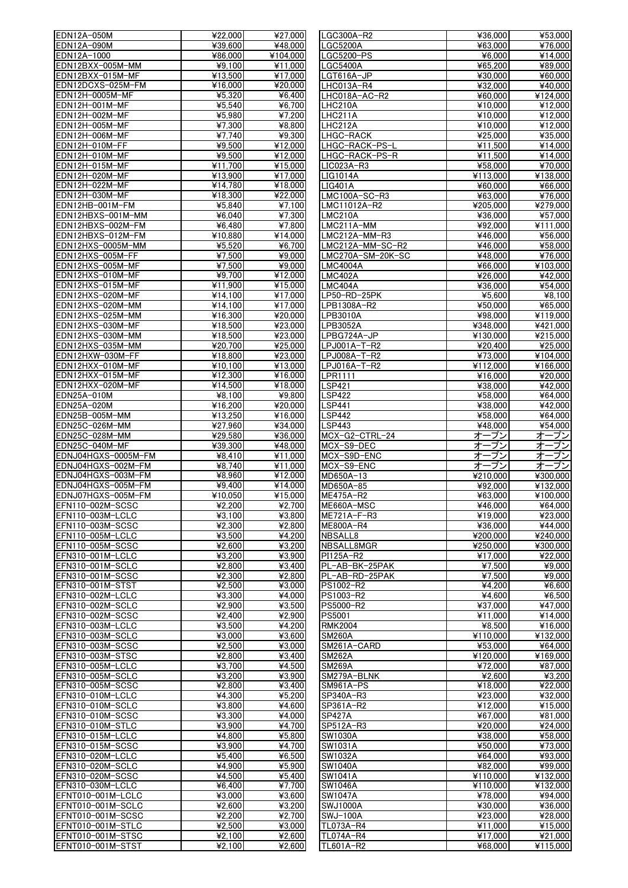| EDN12A-050M         | ¥22.000                      | ¥27,000                     | LGC300A-R2             | ¥36,000                     | ¥53,000                      |
|---------------------|------------------------------|-----------------------------|------------------------|-----------------------------|------------------------------|
|                     |                              |                             |                        |                             |                              |
| EDN12A-090M         | ¥39.600                      | ¥48,000                     | LGC5200A               | ¥63,000                     | ¥76,000                      |
| EDN12A-1000         | ¥86,000                      | ¥104,000                    | LGC5200-PS             | ¥6.000                      | ¥14,000                      |
| EDN12BXX-005M-MM    | ¥9.100                       | ¥11,000                     | <b>LGC5400A</b>        | ¥65,200                     | $\frac{1}{489,000}$          |
| EDN12BXX-015M-MF    | ¥13,500                      | ¥17,000                     | LGT616A-JP             | ¥30,000                     | ¥60,000                      |
| EDN12DCXS-025M-FM   | ¥16,000                      | ¥20,000                     | LHC013A-R4             | ¥32.000                     | ¥40,000                      |
| EDN12H-0005M-MF     | 45.320                       | ¥6,400                      | LHC018A-AC-R2          | ¥60.000                     | ¥124,000                     |
| EDN12H-001M-MF      | 45.540                       | ¥6,700                      | LHC210A                | ¥10,000                     | ¥12,000                      |
| EDN12H-002M-MF      | ¥5,980                       | ¥7,200                      | LHC211A                | ¥10.000                     | ¥12,000                      |
| EDN12H-005M-MF      | ¥7,300                       | ¥8,800                      | LHC212A                | ¥10,000                     | ¥12,000                      |
|                     |                              |                             |                        |                             |                              |
| EDN12H-006M-MF      | ¥7,740                       | ¥9,300                      | LHGC-RACK              | ¥25,000                     | ¥35,000                      |
| EDN12H-010M-FF      | ¥9.500                       | ¥12,000                     | LHGC-RACK-PS-L         | ¥11,500                     | ¥14,000                      |
| EDN12H-010M-MF      | ¥9.500                       | ¥12,000                     | LHGC-RACK-PS-R         | ¥11,500                     | ¥14,000                      |
| EDN12H-015M-MF      | ¥11,700                      | ¥15,000                     | LIC023A-R3             | ¥58,000                     | ¥70,000                      |
| EDN12H-020M-MF      | $\overline{4}13,900$         | ¥17,000                     | LIG1014A               | $\overline{41}13,000$       | ¥138,000                     |
| EDN12H-022M-MF      | ¥14,780                      | ¥18,000                     | LIG401A                | ¥60,000                     | ¥66,000                      |
| EDN12H-030M-MF      | ¥18,300                      | ¥22,000                     | LMC100A-SC-R3          | ¥63,000                     | ¥76,000                      |
| EDN12HB-001M-FM     | ¥5,840                       | ¥7,100                      | LMC11012A-R2           | ¥205,000                    | ¥279,000                     |
| EDN12HBXS-001M-MM   |                              | ¥7,300                      | <b>LMC210A</b>         |                             |                              |
|                     | ¥6,040                       |                             |                        | ¥36,000                     | ¥57,000                      |
| EDN12HBXS-002M-FM   | ¥6,480                       | ¥7,800                      | LMC211A-MM             | $\overline{$492,000}$       | $\frac{1}{11,000}$           |
| EDN12HBXS-012M-FM   | ¥10,880                      | ¥14,000                     | LMC212A-MM-R3          | ¥46,000                     | ¥56,000                      |
| EDN12HXS-0005M-MM   | ¥5.520                       | ¥6.700                      | LMC212A-MM-SC-R2       | ¥46,000                     | $\overline{\text{458}}$ ,000 |
| EDN12HXS-005M-FF    | ¥7.500                       | ¥9,000                      | LMC270A-SM-20K-SC      | ¥48,000                     | ¥76,000                      |
| EDN12HXS-005M-MF    | ¥7.500                       | ¥9,000                      | <b>LMC4004A</b>        | ¥66,000                     | ¥103,000                     |
| EDN12HXS-010M-MF    | ¥9.700                       | $\overline{\text{¥}12,000}$ | LMC402A                | ¥26,000                     | ¥42,000                      |
| EDN12HXS-015M-MF    | ¥11,900                      | ¥15,000                     | LMC404A                | 436,000                     | ¥54,000                      |
| EDN12HXS-020M-MF    | $\overline{\text{4}}$ 14,100 | ¥17,000                     | LP50-RD-25PK           | ¥5,600                      | ¥8.100                       |
| EDN12HXS-020M-MM    |                              | ¥17,000                     | LPB1308A-R2            | ¥50.000                     |                              |
|                     | ¥14.100                      |                             |                        |                             | ¥65,000                      |
| EDN12HXS-025M-MM    | ¥16,300                      | ¥20,000                     | LPB3010A               | ¥98,000                     | ¥119,000                     |
| EDN12HXS-030M-MF    | ¥18,500                      | ¥23,000                     | LPB3052A               | ¥348,000                    | ¥421.000                     |
| EDN12HXS-030M-MM    | ¥18,500                      | ¥23,000                     | LPBG724A-JP            | ¥130,000                    | ¥215,000                     |
| EDN12HXS-035M-MM    | ¥20,700                      | ¥25,000                     | LPJ001A-T-R2           | ¥20,400                     | ¥25,000                      |
| EDN12HXW-030M-FF    | ¥18,800                      | ¥23,000                     | LPJ008A-T-R2           | ¥73,000                     | ¥104,000                     |
| EDN12HXX-010M-MF    | ¥10.100                      | ¥13,000                     | LPJ016A-T-R2           | ¥112,000                    | ¥166,000                     |
| EDN12HXX-015M-MF    | ¥12,300                      | ¥16,000                     | LPR1111                | ¥16.000                     | ¥20,000                      |
| EDN12HXX-020M-MF    | ¥14,500                      | ¥18,000                     | <b>LSP421</b>          | ¥38,000                     | ¥42,000                      |
|                     |                              |                             |                        |                             |                              |
| EDN25A-010M         | 48,100                       | ¥9,800                      | <b>LSP422</b>          | $\overline{$458,000}$       | ¥64,000                      |
| EDN25A-020M         | ¥16,200                      | ¥20,000                     | <b>LSP441</b>          | ¥38,000                     | ¥42,000                      |
| EDN25B-005M-MM      | ¥13,250                      | ¥16,000                     | <b>LSP442</b>          | ¥58,000                     | ¥64,000                      |
| EDN25C-026M-MM      | ¥27,960                      | ¥34,000                     | <b>LSP443</b>          | ¥48,000                     | ¥54,000                      |
| EDN25C-028M-MM      | ¥29,580                      | ¥36,000                     | MCX-G2-CTRL-24         | オープン                        | オープン                         |
| EDN25C-040M-MF      | ¥39,300                      | ¥48,000                     | MCX-S9-DEC             | オープン                        | オープン                         |
| EDNJ04HGXS-0005M-FM | 48,410                       | ¥11,000                     | MCX-S9D-ENC            | オープン                        | オープン                         |
| EDNJ04HGXS-002M-FM  | $\overline{48,740}$          | $\overline{4}11,000$        | MCX-S9-ENC             | オープン                        | オープン                         |
| EDNJ04HGXS-003M-FM  | ¥8,960                       | ¥12,000                     | $\overline{MD650A-13}$ | ¥210.000                    | ¥300,000                     |
| EDNJ04HGXS-005M-FM  | ¥9.400                       | ¥14,000                     | MD650A-85              | ¥92,000                     | ¥132,000                     |
| EDNJ07HGXS-005M-FM  |                              |                             |                        |                             |                              |
|                     | ¥10.050                      | ¥15,000                     | ME475A-R2              | ¥63,000                     | ¥100.000                     |
| EFN110-002M-SCSC    | ¥2,200                       | ¥2,700                      | ME660A-MSC             | ¥46,000                     | ¥64,000                      |
| EFN110-003M-LCLC    | 43.100                       | ¥3,800                      | ME721A-F-R3            | $\overline{\text{¥}19,000}$ | ¥23,000                      |
| EFN110-003M-SCSC    | ¥2,300                       | ¥2,800                      | ME800A-R4              | ¥36,000                     | ¥44,000                      |
| EFN110-005M-LCLC    | $\overline{$43.500}$         | ¥4.200                      | NBSALL8                | ¥200.000                    | ¥240.000                     |
| EFN110-005M-SCSC    | ¥2,600                       | ¥3,200                      | NBSALL8MGR             | ¥250,000                    | ¥300.000                     |
| EFN310-001M-LCLC    | ¥3,200                       | ¥3,900                      | PI125A-R2              | ¥17,000                     | ¥22,000                      |
| EFN310-001M-SCLC    | ¥2,800                       | ¥3,400                      | PL-AB-BK-25PAK         | ¥7.500                      | ¥9,000                       |
| EFN310-001M-SCSC    | ¥2,300                       | ¥2.800                      | PL-AB-RD-25PAK         | ¥7,500                      | ¥9.000                       |
| EFN310-001M-STST    | 42.500                       | ¥3,000                      | PS1002-R2              | 44.200                      |                              |
|                     |                              |                             |                        |                             | ¥6,600                       |
| EFN310-002M-LCLC    | ¥3,300                       | ¥4,000                      | PS1003-R2              | ¥4,600                      | ¥6,500                       |
| EFN310-002M-SCLC    | ¥2,900                       | ¥3,500                      | PS5000-R2              | ¥37,000                     | ¥47,000                      |
| EFN310-002M-SCSC    | 42,400                       | ¥2,900                      | PS5001                 | ¥11,000                     | ¥14,000                      |
| EFN310-003M-LCLC    | ¥3,500                       | ¥4,200                      | <b>RMK2004</b>         | ¥8,500                      | ¥16,000                      |
| EFN310-003M-SCLC    | 43,000                       | ¥3,600                      | <b>SM260A</b>          | ¥110,000                    | ¥132,000                     |
| EFN310-003M-SCSC    | ¥2,500                       | ¥3,000                      | SM261A-CARD            | ¥53,000                     | $\frac{1}{464,000}$          |
| EFN310-003M-STSC    | ¥2,800                       | ¥3,400                      | <b>SM262A</b>          | ¥120,000                    | ¥169,000                     |
| EFN310-005M-LCLC    | ¥3,700                       | ¥4,500                      | <b>SM269A</b>          | ¥72,000                     | $\overline{487,000}$         |
| EFN310-005M-SCLC    | ¥3,200                       | ¥3,900                      | SM279A-BLNK            | ¥2,600                      | ¥3,200                       |
| EFN310-005M-SCSC    | 42.800                       | ¥3,400                      | SM961A-PS              | ¥18,000                     | ¥22,000                      |
|                     |                              |                             |                        |                             |                              |
| EFN310-010M-LCLC    | ¥4,300                       | ¥5,200                      | SP340A-R3              | ¥23,000                     | ¥32,000                      |
| EFN310-010M-SCLC    | 43.800                       | ¥4.600                      | SP361A-R2              | ¥12,000                     | ¥15,000                      |
| EFN310-010M-SCSC    | ¥3,300                       | ¥4,000                      | <b>SP427A</b>          | ¥67,000                     | ¥81,000                      |
| EFN310-010M-STLC    | ¥3,900                       | ¥4,700                      | SP512A-R3              | ¥20,000                     | ¥24,000                      |
| EFN310-015M-LCLC    | ¥4.800                       | ¥5,800                      | <b>SW1030A</b>         | ¥38,000                     | ¥58,000                      |
| EFN310-015M-SCSC    | ¥3,900                       | ¥4,700                      | SW1031A                | ¥50,000                     | ¥73,000                      |
| EFN310-020M-LCLC    | ¥5,400                       | ¥6,500                      | <b>SW1032A</b>         | ¥64,000                     | ¥93,000                      |
| EFN310-020M-SCLC    | ¥4,900                       | $\overline{$45,900}$        | <b>SW1040A</b>         | ¥82,000                     | ¥99,000                      |
| EFN310-020M-SCSC    | 44.500                       | ¥5.400                      | <b>SW1041A</b>         | ¥110,000                    | ¥132,000                     |
| EFN310-030M-LCLC    | ¥6.400                       | ¥7,700                      | <b>SW1046A</b>         | ¥110,000                    | ¥132,000                     |
|                     |                              |                             |                        |                             |                              |
| EFNT010-001M-LCLC   | ¥3,000                       | ¥3,600                      | <b>SW1047A</b>         | ¥78,000                     | ¥94,000                      |
| EFNT010-001M-SCLC   | ¥2.600                       | ¥3,200                      | <b>SWJ1000A</b>        | ¥30,000                     | ¥36,000                      |
| EFNT010-001M-SCSC   | ¥2,200                       | ¥2,700                      | SWJ-100A               | ¥23,000                     | ¥28,000                      |
| EFNT010-001M-STLC   | 42.500                       | ¥3,000                      | TL073A-R4              | ¥11.000                     | ¥15,000                      |
| EFNT010-001M-STSC   | ¥2,100                       | ¥2,600                      | TL074A-R4              | ¥17,000                     | ¥21,000                      |
| EFNT010-001M-STST   | ¥2,100                       | ¥2,600                      | TL601A-R2              | ¥68,000                     | ¥115.000                     |
|                     |                              |                             |                        |                             |                              |